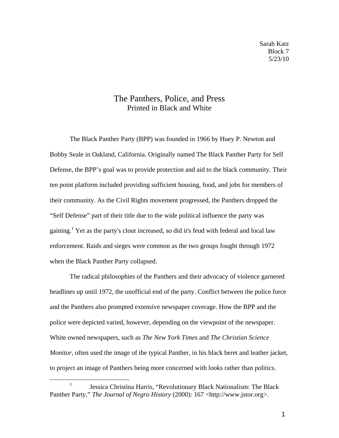## The Panthers, Police, and Press Printed in Black and White

The Black Panther Party (BPP) was founded in 1966 by Huey P. Newton and Bobby Seale in Oakland, California. Originally named The Black Panther Party for Self Defense, the BPP's goal was to provide protection and aid to the black community. Their ten point platform included providing sufficient housing, food, and jobs for members of their community. As the Civil Rights movement progressed, the Panthers dropped the "Self Defense" part of their title due to the wide political influence the party was gaining.<sup>1</sup> Yet as the party's clout increased, so did it's feud with federal and local law enforcement. Raids and sieges were common as the two groups fought through 1972 when the Black Panther Party collapsed.

The radical philosophies of the Panthers and their advocacy of violence garnered headlines up until 1972, the unofficial end of the party. Conflict between the police force and the Panthers also prompted extensive newspaper coverage. How the BPP and the police were depicted varied, however, depending on the viewpoint of the newspaper. White owned newspapers, such as *The New York Times* and *The Christian Science Monitor*, often used the image of the typical Panther, in his black beret and leather jacket, to project an image of Panthers being more concerned with looks rather than politics.

<sup>1</sup> Jessica Christina Harris, "Revolutionary Black Nationalism: The Black Panther Party," *The Journal of Negro History* (2000): 167 <http://www.jstor.org>.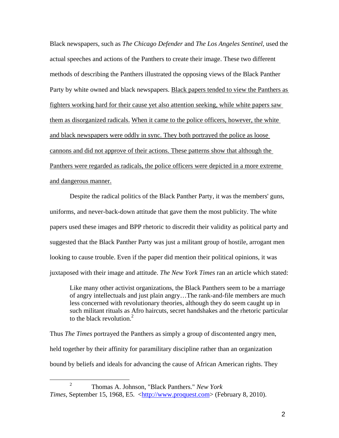Black newspapers, such as *The Chicago Defender* and *The Los Angeles Sentinel,* used the actual speeches and actions of the Panthers to create their image. These two different methods of describing the Panthers illustrated the opposing views of the Black Panther Party by white owned and black newspapers. Black papers tended to view the Panthers as fighters working hard for their cause yet also attention seeking, while white papers saw them as disorganized radicals. When it came to the police officers, however, the white and black newspapers were oddly in sync. They both portrayed the police as loose cannons and did not approve of their actions. These patterns show that although the Panthers were regarded as radicals, the police officers were depicted in a more extreme and dangerous manner.

Despite the radical politics of the Black Panther Party, it was the members' guns, uniforms, and never-back-down attitude that gave them the most publicity. The white papers used these images and BPP rhetoric to discredit their validity as political party and suggested that the Black Panther Party was just a militant group of hostile, arrogant men looking to cause trouble. Even if the paper did mention their political opinions, it was juxtaposed with their image and attitude. *The New York Times* ran an article which stated:

Like many other activist organizations, the Black Panthers seem to be a marriage of angry intellectuals and just plain angry…The rank-and-file members are much less concerned with revolutionary theories, although they do seem caught up in such militant rituals as Afro haircuts, secret handshakes and the rhetoric particular to the black revolution. $2$ 

Thus *The Times* portrayed the Panthers as simply a group of discontented angry men, held together by their affinity for paramilitary discipline rather than an organization bound by beliefs and ideals for advancing the cause of African American rights. They

<sup>2</sup> Thomas A. Johnson, "Black Panthers." *New York Times*, September 15, 1968, E5. [<http://www.proquest.com>](http://www.proquest.com/) (February 8, 2010).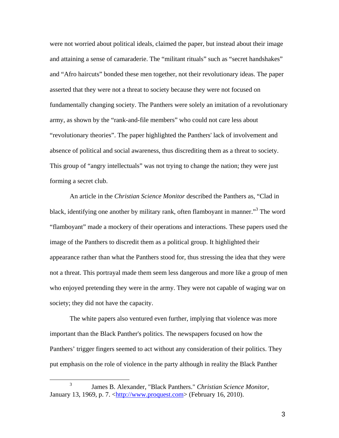were not worried about political ideals, claimed the paper, but instead about their image and attaining a sense of camaraderie. The "militant rituals" such as "secret handshakes" and "Afro haircuts" bonded these men together, not their revolutionary ideas. The paper asserted that they were not a threat to society because they were not focused on fundamentally changing society. The Panthers were solely an imitation of a revolutionary army, as shown by the "rank-and-file members" who could not care less about "revolutionary theories". The paper highlighted the Panthers' lack of involvement and absence of political and social awareness, thus discrediting them as a threat to society. This group of "angry intellectuals" was not trying to change the nation; they were just forming a secret club.

An article in the *Christian Science Monitor* described the Panthers as, "Clad in black, identifying one another by military rank, often flamboyant in manner."<sup>3</sup> The word "flamboyant" made a mockery of their operations and interactions. These papers used the image of the Panthers to discredit them as a political group. It highlighted their appearance rather than what the Panthers stood for, thus stressing the idea that they were not a threat. This portrayal made them seem less dangerous and more like a group of men who enjoyed pretending they were in the army. They were not capable of waging war on society; they did not have the capacity.

The white papers also ventured even further, implying that violence was more important than the Black Panther's politics. The newspapers focused on how the Panthers' trigger fingers seemed to act without any consideration of their politics. They put emphasis on the role of violence in the party although in reality the Black Panther

<sup>3</sup> James B. Alexander, "Black Panthers." *Christian Science Monitor*, January 13, 1969, p. 7. [<http://www.proquest.com>](http://www.proquest.com/) (February 16, 2010).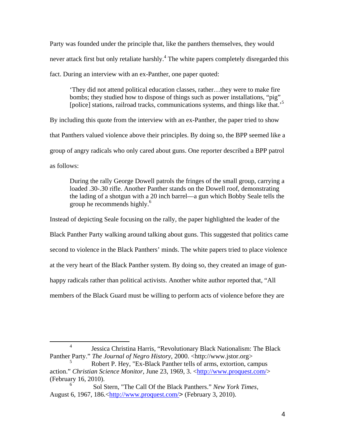Party was founded under the principle that, like the panthers themselves, they would never attack first but only retaliate harshly.<sup>4</sup> The white papers completely disregarded this fact. During an interview with an ex-Panther, one paper quoted:

'They did not attend political education classes, rather…they were to make fire bombs; they studied how to dispose of things such as power installations, "pig" [police] stations, railroad tracks, communications systems, and things like that.<sup>5</sup>

By including this quote from the interview with an ex-Panther, the paper tried to show that Panthers valued violence above their principles. By doing so, the BPP seemed like a group of angry radicals who only cared about guns. One reporter described a BPP patrol as follows:

During the rally George Dowell patrols the fringes of the small group, carrying a loaded .30-.30 rifle. Another Panther stands on the Dowell roof, demonstrating the lading of a shotgun with a 20 inch barrel—a gun which Bobby Seale tells the group he recommends highly.<sup>6</sup>

Instead of depicting Seale focusing on the rally, the paper highlighted the leader of the Black Panther Party walking around talking about guns. This suggested that politics came second to violence in the Black Panthers' minds. The white papers tried to place violence at the very heart of the Black Panther system. By doing so, they created an image of gunhappy radicals rather than political activists. Another white author reported that, "All members of the Black Guard must be willing to perform acts of violence before they are

<sup>4</sup> Jessica Christina Harris, "Revolutionary Black Nationalism: The Black Panther Party." *The Journal of Negro History*, 2000. <http://www.jstor.org>

<sup>5</sup> Robert P. Hey, "Ex-Black Panther tells of arms, extortion, campus action." *Christian Science Monitor*, June 23, 1969, 3. [<http://www.proquest.com/>](http://www.proquest.com/) (February 16, 2010).

<sup>6</sup> Sol Stern, "The Call Of the Black Panthers." *New York Times*, August 6, 1967, 186.[<http://www.proquest.com/](http://www.proquest.com/)> (February 3, 2010).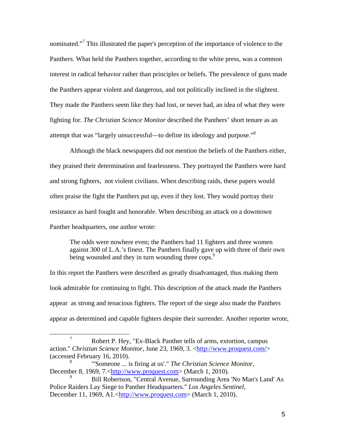nominated."7 This illustrated the paper's perception of the importance of violence to the Panthers. What held the Panthers together, according to the white press, was a common interest in radical behavior rather than principles or beliefs. The prevalence of guns made the Panthers appear violent and dangerous, and not politically inclined in the slightest. They made the Panthers seem like they had lost, or never had, an idea of what they were fighting for. *The Christian Science Monitor* described the Panthers' short tenure as an attempt that was "largely unsuccessful—to define its ideology and purpose."<sup>8</sup>

Although the black newspapers did not mention the beliefs of the Panthers either, they praised their determination and fearlessness. They portrayed the Panthers were hard and strong fighters, not violent civilians. When describing raids, these papers would often praise the fight the Panthers put up, even if they lost. They would portray their resistance as hard fought and honorable. When describing an attack on a downtown Panther headquarters, one author wrote:

The odds were nowhere even; the Panthers had 11 fighters and three women against 300 of L.A.'s finest. The Panthers finally gave up with three of their own being wounded and they in turn wounding three cops.<sup>9</sup>

In this report the Panthers were described as greatly disadvantaged, thus making them look admirable for continuing to fight. This description of the attack made the Panthers appear as strong and tenacious fighters. The report of the siege also made the Panthers appear as determined and capable fighters despite their surrender. Another reporter wrote,

<sup>7</sup> Robert P. Hey, "Ex-Black Panther tells of arms, extortion, campus action." *Christian Science Monitor*, June 23, 1969, 3. [<http://www.proquest.com/>](http://www.proquest.com/) (accessed February 16, 2010).

<sup>8</sup> "'Someone ... is firing at us'." *The Christian Science Monitor*, December 8, 1969, 7.[<http://www.proquest.com>](http://www.proquest.com/) (March 1, 2010).

<sup>9</sup> Bill Robertson, "Central Avenue, Surrounding Area 'No Man's Land' As Police Raiders Lay Siege to Panther Headquarters." *Los Angeles Sentinel*, December 11, 1969, A1.[<http://www.proquest.com>](http://www.proquest.com/) (March 1, 2010).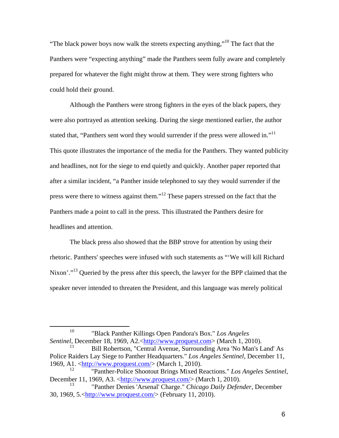"The black power boys now walk the streets expecting anything,"<sup>10</sup> The fact that the Panthers were "expecting anything" made the Panthers seem fully aware and completely prepared for whatever the fight might throw at them. They were strong fighters who could hold their ground.

Although the Panthers were strong fighters in the eyes of the black papers, they were also portrayed as attention seeking. During the siege mentioned earlier, the author stated that, "Panthers sent word they would surrender if the press were allowed in."<sup>11</sup> This quote illustrates the importance of the media for the Panthers. They wanted publicity and headlines, not for the siege to end quietly and quickly. Another paper reported that after a similar incident, "a Panther inside telephoned to say they would surrender if the press were there to witness against them."<sup>12</sup> These papers stressed on the fact that the Panthers made a point to call in the press. This illustrated the Panthers desire for headlines and attention.

The black press also showed that the BBP strove for attention by using their rhetoric. Panthers' speeches were infused with such statements as "'We will kill Richard Nixon'."<sup>13</sup> Queried by the press after this speech, the lawyer for the BPP claimed that the speaker never intended to threaten the President, and this language was merely political

<sup>10</sup> "Black Panther Killings Open Pandora's Box." *Los Angeles Sentinel*, December 18, 1969, A2.[<http://www.proquest.com>](http://www.proquest.com/) (March 1, 2010).

<sup>11</sup> Bill Robertson, "Central Avenue, Surrounding Area 'No Man's Land' As Police Raiders Lay Siege to Panther Headquarters." *Los Angeles Sentinel*, December 11, 1969, A1. [<http://www.proquest.com/>](http://www.proquest.com/) (March 1, 2010).

<sup>12</sup> "Panther-Police Shootout Brings Mixed Reactions." *Los Angeles Sentinel*, December 11, 1969, A3. [<http://www.proquest.com/>](http://www.proquest.com/) (March 1, 2010).

<sup>13</sup> "Panther Denies 'Arsenal' Charge." *Chicago Daily Defender*, December 30, 1969, 5.[<http://www.proquest.com/>](http://www.proquest.com/) (February 11, 2010).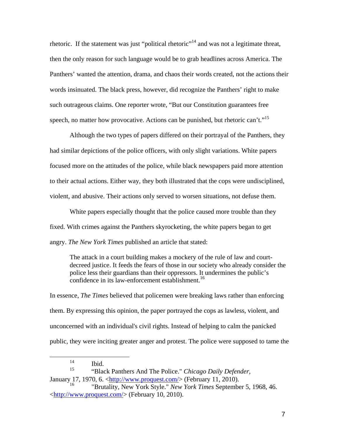rhetoric. If the statement was just "political rhetoric"<sup>14</sup> and was not a legitimate threat, then the only reason for such language would be to grab headlines across America. The Panthers' wanted the attention, drama, and chaos their words created, not the actions their words insinuated. The black press, however, did recognize the Panthers' right to make such outrageous claims. One reporter wrote, "But our Constitution guarantees free speech, no matter how provocative. Actions can be punished, but rhetoric can't."<sup>15</sup>

Although the two types of papers differed on their portrayal of the Panthers, they had similar depictions of the police officers, with only slight variations. White papers focused more on the attitudes of the police, while black newspapers paid more attention to their actual actions. Either way, they both illustrated that the cops were undisciplined, violent, and abusive. Their actions only served to worsen situations, not defuse them.

White papers especially thought that the police caused more trouble than they fixed. With crimes against the Panthers skyrocketing, the white papers began to get angry. *The New York Times* published an article that stated:

The attack in a court building makes a mockery of the rule of law and courtdecreed justice. It feeds the fears of those in our society who already consider the police less their guardians than their oppressors. It undermines the public's confidence in its law-enforcement establishment.<sup>16</sup>

In essence, *The Times* believed that policemen were breaking laws rather than enforcing them. By expressing this opinion, the paper portrayed the cops as lawless, violent, and unconcerned with an individual's civil rights. Instead of helping to calm the panicked public, they were inciting greater anger and protest. The police were supposed to tame the

<sup>14</sup> Ibid.

<sup>15</sup> "Black Panthers And The Police." *Chicago Daily Defender*, January 17, 1970, 6.  $\langle \frac{\text{http://www.proquest.com/}}{\text{http://www.proquest.com/}} \rangle$  (February 11, 2010).

<sup>16</sup> "Brutality, New York Style." *New York Times* September 5, 1968, 46. [<http://www.proquest.com/>](http://www.proquest.com/) (February 10, 2010).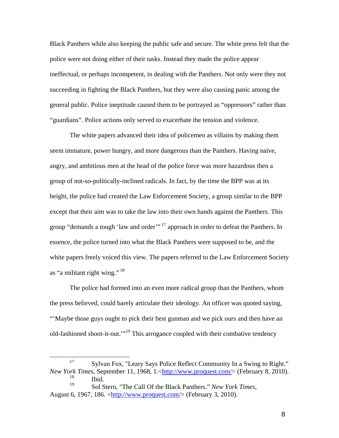Black Panthers while also keeping the public safe and secure. The white press felt that the police were not doing either of their tasks. Instead they made the police appear ineffectual, or perhaps incompetent, in dealing with the Panthers. Not only were they not succeeding in fighting the Black Panthers, but they were also causing panic among the general public. Police ineptitude caused them to be portrayed as "oppressors" rather than "guardians". Police actions only served to exacerbate the tension and violence.

The white papers advanced their idea of policemen as villains by making them seem immature, power hungry, and more dangerous than the Panthers. Having naïve, angry, and ambitious men at the head of the police force was more hazardous then a group of not-so-politically-inclined radicals. In fact, by the time the BPP was at its height, the police had created the Law Enforcement Society, a group similar to the BPP except that their aim was to take the law into their own hands against the Panthers. This group "demands a tough 'law and order"<sup>17</sup> approach in order to defeat the Panthers. In essence, the police turned into what the Black Panthers were supposed to be, and the white papers freely voiced this view. The papers referred to the Law Enforcement Society as "a militant right wing." 18

The police had formed into an even more radical group than the Panthers, whom the press believed, could barely articulate their ideology. An officer was quoted saying, "'Maybe those guys ought to pick their best gunman and we pick ours and then have an old-fashioned shoot-it-out.'"19 This arrogance coupled with their combative tendency

<sup>&</sup>lt;sup>17</sup> Sylvan Fox, "Leary Says Police Reflect Community In a Swing to Right." *New York Times*, September 11, 1968, 1.[<http://www.proquest.com/>](http://www.proquest.com/) (February 8, 2010).

 $\frac{18}{19}$  Ibid.

<sup>19</sup> Sol Stern, "The Call Of the Black Panthers." *New York Times*, August 6, 1967, 186. [<http://www.proquest.com/>](http://www.proquest.com/) (February 3, 2010).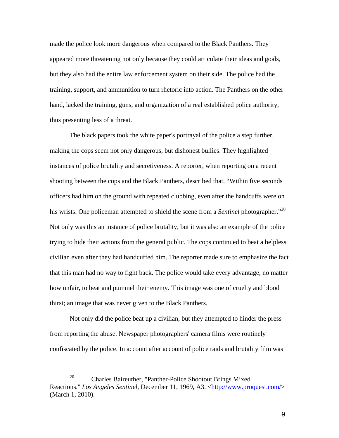made the police look more dangerous when compared to the Black Panthers. They appeared more threatening not only because they could articulate their ideas and goals, but they also had the entire law enforcement system on their side. The police had the training, support, and ammunition to turn rhetoric into action. The Panthers on the other hand, lacked the training, guns, and organization of a real established police authority, thus presenting less of a threat.

The black papers took the white paper's portrayal of the police a step further, making the cops seem not only dangerous, but dishonest bullies. They highlighted instances of police brutality and secretiveness. A reporter, when reporting on a recent shooting between the cops and the Black Panthers, described that, "Within five seconds officers had him on the ground with repeated clubbing, even after the handcuffs were on his wrists. One policeman attempted to shield the scene from a *Sentinel* photographer."<sup>20</sup> Not only was this an instance of police brutality, but it was also an example of the police trying to hide their actions from the general public. The cops continued to beat a helpless civilian even after they had handcuffed him. The reporter made sure to emphasize the fact that this man had no way to fight back. The police would take every advantage, no matter how unfair, to beat and pummel their enemy. This image was one of cruelty and blood thirst; an image that was never given to the Black Panthers.

Not only did the police beat up a civilian, but they attempted to hinder the press from reporting the abuse. Newspaper photographers' camera films were routinely confiscated by the police. In account after account of police raids and brutality film was

<sup>20</sup> Charles Baireuther, "Panther-Police Shootout Brings Mixed Reactions." *Los Angeles Sentinel*, December 11, 1969, A3. [<http://www.proquest.com/>](http://www.proquest.com/) (March 1, 2010).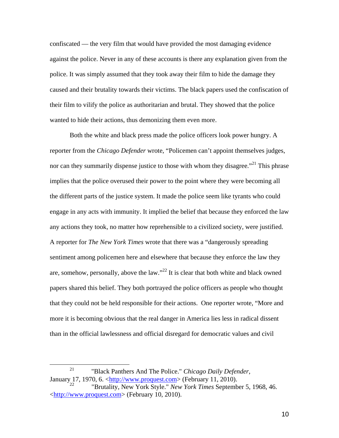confiscated — the very film that would have provided the most damaging evidence against the police. Never in any of these accounts is there any explanation given from the police. It was simply assumed that they took away their film to hide the damage they caused and their brutality towards their victims. The black papers used the confiscation of their film to vilify the police as authoritarian and brutal. They showed that the police wanted to hide their actions, thus demonizing them even more.

Both the white and black press made the police officers look power hungry. A reporter from the *Chicago Defender* wrote, "Policemen can't appoint themselves judges, nor can they summarily dispense justice to those with whom they disagree."<sup>21</sup> This phrase implies that the police overused their power to the point where they were becoming all the different parts of the justice system. It made the police seem like tyrants who could engage in any acts with immunity. It implied the belief that because they enforced the law any actions they took, no matter how reprehensible to a civilized society, were justified. A reporter for *The New York Times* wrote that there was a "dangerously spreading sentiment among policemen here and elsewhere that because they enforce the law they are, somehow, personally, above the law."<sup>22</sup> It is clear that both white and black owned papers shared this belief. They both portrayed the police officers as people who thought that they could not be held responsible for their actions. One reporter wrote, "More and more it is becoming obvious that the real danger in America lies less in radical dissent than in the official lawlessness and official disregard for democratic values and civil

<sup>21</sup> "Black Panthers And The Police." *Chicago Daily Defender*, January 17, 1970, 6.  $\frac{\text{http://www.proquest.com}}{\text{http://www.proquest.com}}$  (February 11, 2010). <sup>22</sup> "Brutality, New York Style." *New York Times* September 5, 1968, 46.

[<sup>&</sup>lt;http://www.proquest.com>](http://www.proquest.com/) (February 10, 2010).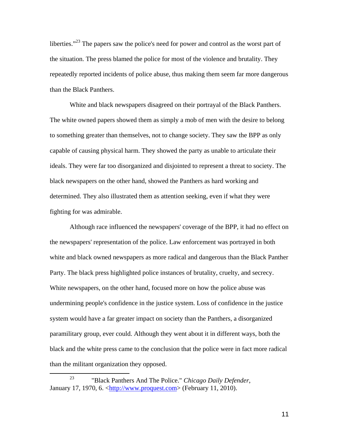liberties."<sup>23</sup> The papers saw the police's need for power and control as the worst part of the situation. The press blamed the police for most of the violence and brutality. They repeatedly reported incidents of police abuse, thus making them seem far more dangerous than the Black Panthers.

White and black newspapers disagreed on their portrayal of the Black Panthers. The white owned papers showed them as simply a mob of men with the desire to belong to something greater than themselves, not to change society. They saw the BPP as only capable of causing physical harm. They showed the party as unable to articulate their ideals. They were far too disorganized and disjointed to represent a threat to society. The black newspapers on the other hand, showed the Panthers as hard working and determined. They also illustrated them as attention seeking, even if what they were fighting for was admirable.

Although race influenced the newspapers' coverage of the BPP, it had no effect on the newspapers' representation of the police. Law enforcement was portrayed in both white and black owned newspapers as more radical and dangerous than the Black Panther Party. The black press highlighted police instances of brutality, cruelty, and secrecy. White newspapers, on the other hand, focused more on how the police abuse was undermining people's confidence in the justice system. Loss of confidence in the justice system would have a far greater impact on society than the Panthers, a disorganized paramilitary group, ever could. Although they went about it in different ways, both the black and the white press came to the conclusion that the police were in fact more radical than the militant organization they opposed.

11

<sup>23</sup> "Black Panthers And The Police." *Chicago Daily Defender*, January 17, 1970, 6. [<http://www.proquest.com>](http://www.proquest.com/) (February 11, 2010).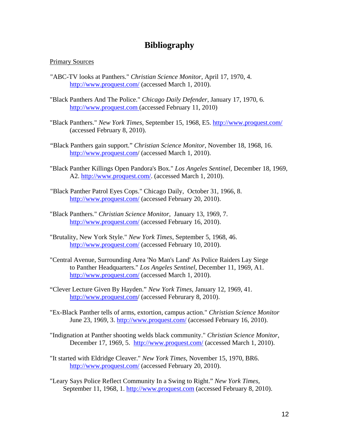## **Bibliography**

## Primary Sources

- "ABC-TV looks at Panthers." *Christian Science Monitor,* April 17, 1970, 4. <http://www.proquest.com/> (accessed March 1, 2010).
- "Black Panthers And The Police." *Chicago Daily Defender*, January 17, 1970, 6. [http://www.proquest.com](http://www.proquest.com/) (accessed February 11, 2010)
- "Black Panthers." *New York Times*, September 15, 1968, E5.<http://www.proquest.com/> (accessed February 8, 2010).
- "Black Panthers gain support." *Christian Science Monitor*, November 18, 1968, 16. <http://www.proquest.com/> (accessed March 1, 2010).
- "Black Panther Killings Open Pandora's Box." *Los Angeles Sentinel*, December 18, 1969, A2. [http://www.proquest.com/.](http://www.proquest.com/) (accessed March 1, 2010).
- "Black Panther Patrol Eyes Cops." Chicago Daily, October 31, 1966, 8. <http://www.proquest.com/> (accessed February 20, 2010).
- "Black Panthers*.*" *Christian Science Monitor*, January 13, 1969, 7. <http://www.proquest.com/> (accessed February 16, 2010).
- "Brutality, New York Style." *New York Times*, September 5, 1968, 46. <http://www.proquest.com/> (accessed February 10, 2010).
- "Central Avenue, Surrounding Area 'No Man's Land' As Police Raiders Lay Siege to Panther Headquarters." *Los Angeles Sentinel*, December 11, 1969, A1. <http://www.proquest.com/> (accessed March 1, 2010).
- "Clever Lecture Given By Hayden." *New York Times*, January 12, 1969, 41. <http://www.proquest.com/> (accessed Februrary 8, 2010).
- "Ex-Black Panther tells of arms, extortion, campus action." *Christian Science Monitor* June 23, 1969, 3. <http://www.proquest.com/> (accessed February 16, 2010).
- "Indignation at Panther shooting welds black community." *Christian Science Monitor*, December 17, 1969, 5. <http://www.proquest.com/> (accessed March 1, 2010).
- "It started with Eldridge Cleaver." *New York Times*, November 15, 1970, BR6. <http://www.proquest.com/> (accessed February 20, 2010).
- "Leary Says Police Reflect Community In a Swing to Right." *New York Times*, September 11, 1968, 1. [http://www.proquest.com](http://www.proquest.com/) (accessed February 8, 2010).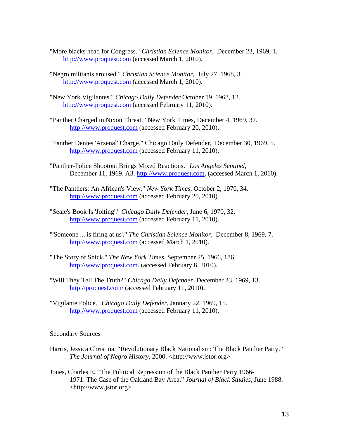- "More blacks head for Congress." *Christian Science Monitor*, December 23, 1969, 1. [http://www.proquest.com](http://www.proquest.com/) (accessed March 1, 2010).
- "Negro militants aroused." *Christian Science Monitor*, July 27, 1968, 3. [http://www.proquest.com](http://www.proquest.com/) (accessed March 1, 2010).
- "New York Vigilantes." *Chicago Daily Defender* October 19, 1968, 12. [http://www.proquest.com](http://www.proquest.com/) (accessed February 11, 2010).
- "Panther Charged in Nixon Threat." New York Times, December 4, 1969, 37. [http://www.proquest.com](http://www.proquest.com/) (accessed February 20, 2010).
- "Panther Denies 'Arsenal' Charge." Chicago Daily Defender, December 30, 1969, 5. [http://www.proquest.com](http://www.proquest.com/) (accessed February 11, 2010).
- "Panther-Police Shootout Brings Mixed Reactions." *Los Angeles Sentinel*, December 11, 1969, A3. [http://www.proquest.com.](http://www.proquest.com/) (accessed March 1, 2010).
- "The Panthers: An African's View." *New York Times*, October 2, 1970, 34. [http://www.proquest.com](http://www.proquest.com/) (accessed February 20, 2010).
- "Seale's Book Is 'Jolting'." *Chicago Daily Defender*, June 6, 1970, 32. [http://www.proquest.com](http://www.proquest.com/) (accessed February 11, 2010).
- "'Someone ... is firing at us'." *The Christian Science Monitor*, December 8, 1969, 7. [http://www.proquest.com](http://www.proquest.com/) (accessed March 1, 2010).
- "The Story of Snick." *The New York Times*, September 25, 1966, 186. [http://www.proquest.com.](http://www.proquest.com/) (accessed February 8, 2010).
- "Will They Tell The Truth?" *Chicago Daily Defender*, December 23, 1969, 13. <http://proquest.com/> (accessed February 11, 2010).
- "Vigilante Police." *Chicago Daily Defender,* January 22, 1969, 15. [http://www.proquest.com](http://www.proquest.com/) (accessed February 11, 2010).

## Secondary Sources

- Harris, Jessica Christina. "Revolutionary Black Nationalism: The Black Panther Party." *The Journal of Negro History*, 2000. <http://www.jstor.org>
- Jones, Charles E. "The Political Repression of the Black Panther Party 1966- 1971: The Case of the Oakland Bay Area." *Journal of Black Studies*, June 1988. <http://www.jstor.org>